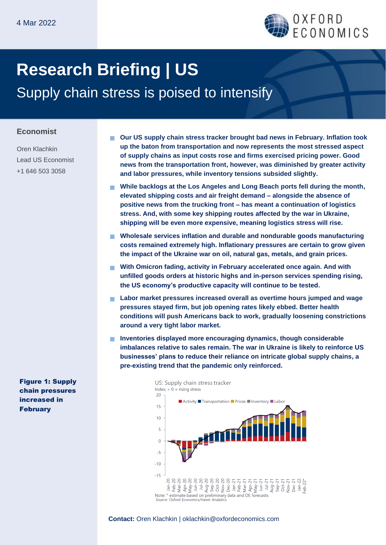

# **Research Briefing | US** Supply chain stress is poised to intensify

### **Economist**

Oren Klachkin Lead US Economist +1 646 503 3058

 **Our US supply chain stress tracker brought bad news in February. Inflation took up the baton from transportation and now represents the most stressed aspect of supply chains as input costs rose and firms exercised pricing power. Good news from the transportation front, however, was diminished by greater activity and labor pressures, while inventory tensions subsided slightly.**

- **While backlogs at the Los Angeles and Long Beach ports fell during the month, elevated shipping costs and air freight demand – alongside the absence of positive news from the trucking front – has meant a continuation of logistics stress. And, with some key shipping routes affected by the war in Ukraine, shipping will be even more expensive, meaning logistics stress will rise.**
- **Wholesale services inflation and durable and nondurable goods manufacturing costs remained extremely high. Inflationary pressures are certain to grow given the impact of the Ukraine war on oil, natural gas, metals, and grain prices.**
- **With Omicron fading, activity in February accelerated once again. And with unfilled goods orders at historic highs and in-person services spending rising, the US economy's productive capacity will continue to be tested.**
- **Labor market pressures increased overall as overtime hours jumped and wage pressures stayed firm, but job opening rates likely ebbed. Better health conditions will push Americans back to work, gradually loosening constrictions around a very tight labor market.**
- **Inventories displayed more encouraging dynamics, though considerable imbalances relative to sales remain. The war in Ukraine is likely to reinforce US businesses' plans to reduce their reliance on intricate global supply chains, a pre-existing trend that the pandemic only reinforced.**



Figure 1: Supply chain pressures increased in February

**Contact:** Oren Klachkin | oklachkin@oxfordeconomics.com